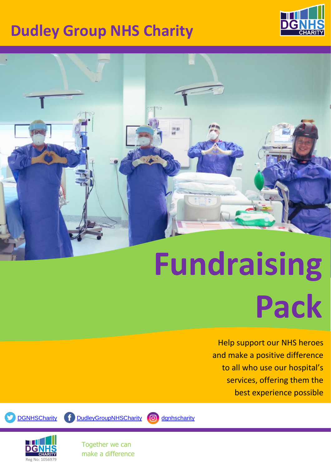# **Dudley Group NHS Charity**





# **Fundraising Pack**

Help support our NHS heroes and make a positive difference to all who use our hospital's services, offering them the best experience possible



[DGNHSCharity](https://twitter.com/DGNHSCharity) [DudleyGroupNHSCharity](https://www.facebook.com/DudleyGroupNHSCharity) **O** [dgnhscharity](https://www.instagram.com/dgnhscharity/)



Together we can make a difference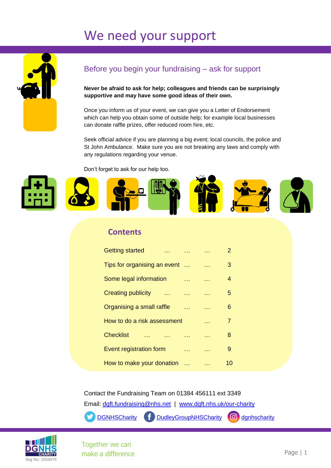### We need your support



### Before you begin your fundraising – ask for support

**Never be afraid to ask for help; colleagues and friends can be surprisingly supportive and may have some good ideas of their own.**

Once you inform us of your event, we can give you a Letter of Endorsement which can help you obtain some of outside help; for example local businesses can donate raffle prizes, offer reduced room hire, etc.

Seek official advice if you are planning a big event; local councils, the police and St John Ambulance. Make sure you are not breaking any laws and comply with any regulations regarding your venue.

Don't forget to ask for our help too.



#### **Contents**

| <b>Getting started</b>                      |                |           | 2  |
|---------------------------------------------|----------------|-----------|----|
| Tips for organising an event                |                | $\sim 10$ | 3  |
| Some legal information                      |                |           | 4  |
| <b>Creating publicity</b><br><b>College</b> | <b>College</b> |           | 5  |
| Organising a small raffle                   |                |           | 6  |
| How to do a risk assessment                 |                |           | 7  |
| <b>Checklist</b>                            |                |           | 8  |
| Event registration form                     |                |           | 9  |
| How to make your donation                   |                |           | 10 |

Contact the Fundraising Team on 01384 456111 ext 3349

Email: [dgft.fundraising@nhs.net](mailto:dgft.fundraising@nhs.net) | [www.dgft.nhs.uk/our-charity](http://www.dgft.nhs.uk/our-charity)

[DGNHSCharity](https://twitter.com/DGNHSCharity) [DudleyGroupNHSCharity](https://www.facebook.com/DudleyGroupNHSCharity) **C** [dgnhscharity](https://www.instagram.com/dgnhscharity/)



Together we can make a difference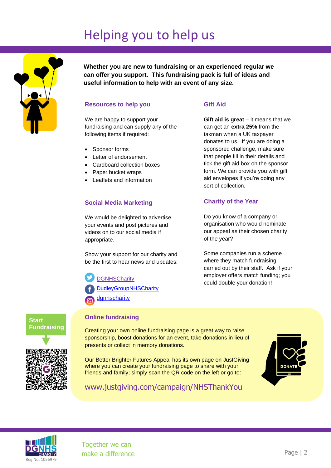### Helping you to help us



**Whether you are new to fundraising or an experienced regular we can offer you support. This fundraising pack is full of ideas and useful information to help with an event of any size.**

#### **Resources to help you**

We are happy to support your fundraising and can supply any of the following items if required:

- Sponsor forms
- Letter of endorsement
- Cardboard collection boxes
- Paper bucket wraps
- Leaflets and information

#### **Social Media Marketing**

We would be delighted to advertise your events and post pictures and videos on to our social media if appropriate.

Show your support for our charity and be the first to hear news and updates:

**[DGNHSCharity](https://twitter.com/DGNHSCharity)** 

**[DudleyGroupNHSCharity](https://www.facebook.com/DudleyGroupNHSCharity)** 

**[dgnhscharity](https://www.instagram.com/dgnhscharity/)** 

#### **Gift Aid**

**Gift aid is great** – it means that we can get an **extra 25%** from the taxman when a UK taxpayer donates to us. If you are doing a sponsored challenge, make sure that people fill in their details and tick the gift aid box on the sponsor form. We can provide you with gift aid envelopes if you're doing any sort of collection.

#### **Charity of the Year**

Do you know of a company or organisation who would nominate our appeal as their chosen charity of the year?

Some companies run a scheme where they match fundraising carried out by their staff. Ask if your employer offers match funding; you could double your donation!



#### **Online fundraising**

Creating your own online fundraising page is a great way to raise sponsorship, boost donations for an event, take donations in lieu of presents or collect in memory donations.

Our Better Brighter Futures Appeal has its own page on JustGiving where you can create your fundraising page to share with your friends and family; simply scan the QR code on the left or go to:



www.justgiving.com/campaign/NHSThankYou

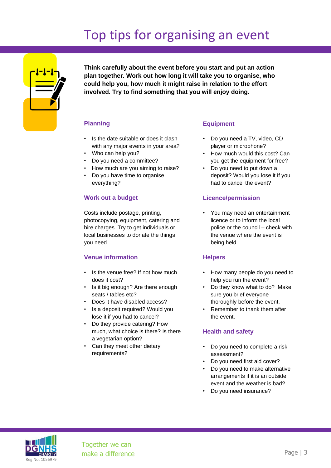# Top tips for organising an event



**Think carefully about the event before you start and put an action plan together. Work out how long it will take you to organise, who could help you, how much it might raise in relation to the effort involved. Try to find something that you will enjoy doing.**

#### **Planning**

- Is the date suitable or does it clash with any major events in your area?
- Who can help you?
- Do you need a committee?
- How much are you aiming to raise?
- Do you have time to organise everything?

#### **Work out a budget**

Costs include postage, printing, photocopying, equipment, catering and hire charges. Try to get individuals or local businesses to donate the things you need.

#### **Venue information**

- Is the venue free? If not how much does it cost?
- Is it big enough? Are there enough seats / tables etc?
- Does it have disabled access?
- Is a deposit required? Would you lose it if you had to cancel?
- Do they provide catering? How much, what choice is there? Is there a vegetarian option?
- Can they meet other dietary requirements?

#### **Equipment**

- Do you need a TV, video, CD player or microphone?
- How much would this cost? Can you get the equipment for free?
- Do you need to put down a deposit? Would you lose it if you had to cancel the event?

#### **Licence/permission**

You may need an entertainment licence or to inform the local police or the council – check with the venue where the event is being held.

#### **Helpers**

- How many people do you need to help you run the event?
- Do they know what to do? Make sure you brief everyone thoroughly before the event.
- Remember to thank them after the event.

#### **Health and safety**

- Do you need to complete a risk assessment?
- Do you need first aid cover?
- Do you need to make alternative arrangements if it is an outside event and the weather is bad?
- Do you need insurance?

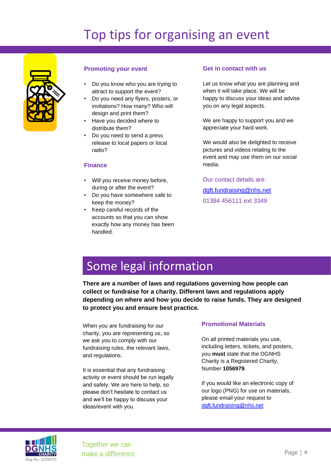# Top tips for organising an event



#### **Promoting your event**

- Do you know who you are trying to attract to support the event?
- Do you need any flyers, posters, or invitations? How many? Who will design and print them?
- Have you decided where to distribute them?
- Do you need to send a press release to local papers or local radio?

#### **Finance**

- Will you receive money before, during or after the event?
- Do you have somewhere safe to keep the money?
- Keep careful records of the accounts so that you can show exactly how any money has been handled.

#### **Get in contact with us**

Let us know what you are planning and when it will take place. We will be happy to discuss your ideas and advise you on any legal aspects.

We are happy to support you and we appreciate your hard work.

We would also be delighted to receive pictures and videos relating to the event and may use them on our social media.

Our contact details are: [dgft.fundraising@nhs.net](mailto:dgft.fundraising@nhs.net) 01384 456111 ext 3349

### Some legal information

**There are a number of laws and regulations governing how people can collect or fundraise for a charity. Different laws and regulations apply depending on where and how you decide to raise funds. They are designed to protect you and ensure best practice.**

When you are fundraising for our charity, you are representing us, so we ask you to comply with our fundraising rules, the relevant laws, and regulations.

It is essential that any fundraising activity or event should be run legally and safely. We are here to help, so please don't hesitate to contact us and we'll be happy to discuss your ideas/event with you.

#### **Promotional Materials**

On all printed materials you use, including letters, tickets, and posters, you **must** state that the DGNHS Charity is a Registered Charity, Number **1056979**.

If you would like an electronic copy of our logo (PNG) for use on materials, please email your request to [dgft.fundraising@nhs.net](mailto:dgft.fundraising@nhs.net)

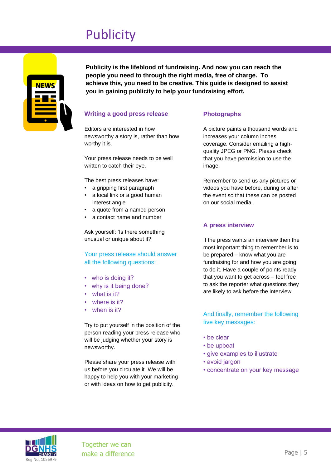### **Publicity**



**Publicity is the lifeblood of fundraising. And now you can reach the people you need to through the right media, free of charge. To achieve this, you need to be creative. This guide is designed to assist you in gaining publicity to help your fundraising effort.**

#### **Writing a good press release**

Editors are interested in how newsworthy a story is, rather than how worthy it is.

Your press release needs to be well written to catch their eye.

The best press releases have:

- a gripping first paragraph
- a local link or a good human interest angle
- a quote from a named person
- a contact name and number

Ask yourself: 'Is there something unusual or unique about it?'

Your press release should answer all the following questions:

- who is doing it?
- why is it being done?
- what is it?
- where is it?
- when is it?

Try to put yourself in the position of the person reading your press release who will be judging whether your story is newsworthy.

Please share your press release with us before you circulate it. We will be happy to help you with your marketing or with ideas on how to get publicity.

#### **Photographs**

A picture paints a thousand words and increases your column inches coverage. Consider emailing a highquality JPEG or PNG. Please check that you have permission to use the image.

Remember to send us any pictures or videos you have before, during or after the event so that these can be posted on our social media.

#### **A press interview**

If the press wants an interview then the most important thing to remember is to be prepared – know what you are fundraising for and how you are going to do it. Have a couple of points ready that you want to get across – feel free to ask the reporter what questions they are likely to ask before the interview.

And finally, remember the following five key messages:

- be clear
- be upbeat
- give examples to illustrate
- avoid jargon
- concentrate on your key message

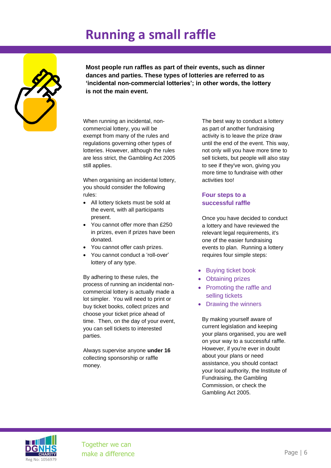### **Running a small raffle**



**Most people run raffles as part of their events, such as dinner dances and parties. These types of lotteries are referred to as 'incidental non-commercial lotteries'; in other words, the lottery is not the main event.** 

When running an incidental, noncommercial lottery, you will be exempt from many of the rules and regulations governing other types of lotteries. However, although the rules are less strict, the Gambling Act 2005 still applies.

When organising an incidental lottery, you should consider the following rules:

- All lottery tickets must be sold at the event, with all participants present.
- You cannot offer more than £250 in prizes, even if prizes have been donated.
- You cannot offer cash prizes.
- You cannot conduct a 'roll-over' lottery of any type.

By adhering to these rules, the process of running an incidental noncommercial lottery is actually made a lot simpler. You will need to print or buy ticket books, collect prizes and choose your ticket price ahead of time. Then, on the day of your event, you can sell tickets to interested parties.

Always supervise anyone **under 16** collecting sponsorship or raffle money.

The best way to conduct a lottery as part of another fundraising activity is to leave the prize draw until the end of the event. This way, not only will you have more time to sell tickets, but people will also stay to see if they've won, giving you more time to fundraise with other activities too!

#### **Four steps to a successful raffle**

Once you have decided to conduct a lottery and have reviewed the relevant legal requirements, it's one of the easier fundraising events to plan. Running a lottery requires four simple steps:

- Buying ticket book
- Obtaining prizes
- Promoting the raffle and selling tickets
- Drawing the winners

By making yourself aware of current legislation and keeping your plans organised, you are well on your way to a successful raffle. However, if you're ever in doubt about your plans or need assistance, you should contact your local authority, the Institute of Fundraising, the Gambling Commission, or check the Gambling Act 2005.

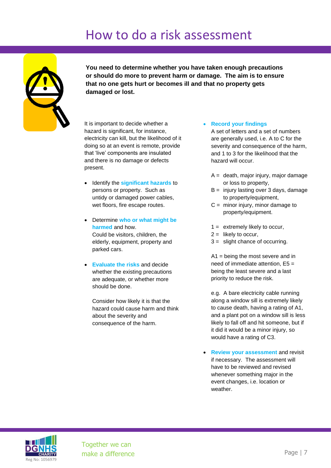### How to do a risk assessment



**You need to determine whether you have taken enough precautions or should do more to prevent harm or damage. The aim is to ensure that no one gets hurt or becomes ill and that no property gets damaged or lost.**

It is important to decide whether a hazard is significant, for instance, electricity can kill, but the likelihood of it doing so at an event is remote, provide that 'live' components are insulated and there is no damage or defects present.

- Identify the **significant hazards** to persons or property. Such as untidy or damaged power cables, wet floors, fire escape routes.
- Determine **who or what might be harmed** and how. Could be visitors, children, the elderly, equipment, property and parked cars.
- **Evaluate the risks** and decide whether the existing precautions are adequate, or whether more should be done.

Consider how likely it is that the hazard could cause harm and think about the severity and consequence of the harm.

• **Record your findings**

A set of letters and a set of numbers are generally used, i.e. A to C for the severity and consequence of the harm, and 1 to 3 for the likelihood that the hazard will occur.

- $A =$  death, major injury, major damage or loss to property,
- $B =$  injury lasting over 3 days, damage to property/equipment,
- $C =$  minor injury, minor damage to property/equipment.
- 1 = extremely likely to occur,
- $2 =$  likely to occur,
- 3 = slight chance of occurring.

A1 = being the most severe and in need of immediate attention, E5 = being the least severe and a last priority to reduce the risk.

e.g. A bare electricity cable running along a window sill is extremely likely to cause death, having a rating of A1, and a plant pot on a window sill is less likely to fall off and hit someone, but if it did it would be a minor injury, so would have a rating of C3.

• **Review your assessment** and revisit if necessary. The assessment will have to be reviewed and revised whenever something major in the event changes, i.e. location or weather.

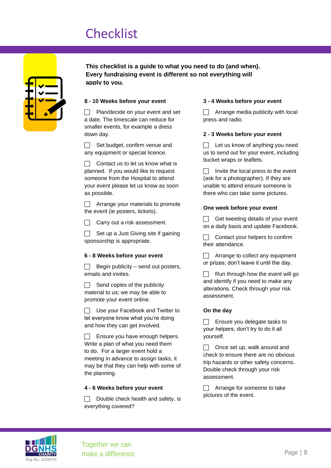### **Checklist**

| $\blacksquare$ | <b>Contract</b> |
|----------------|-----------------|
|                |                 |

**This checklist is a guide to what you need to do (and when). Every fundraising event is different so not everything will apply to you.**

#### **8 - 10 Weeks before your event**

 $\Box$  Plan/decide on your event and set a date. The timescale can reduce for smaller events, for example a dress down day.

 $\Box$  Set budget, confirm venue and any equipment or special licence.

 $\Box$  Contact us to let us know what is planned. If you would like to request someone from the Hospital to attend your event please let us know as soon as possible.

 $\Box$  Arrange your materials to promote the event (ie posters, tickets).

 $\Box$  Carry out a risk assessment.

 $\Box$  Set up a Just Giving site if gaining sponsorship is appropriate.

#### **6 - 8 Weeks before your event**

 Begin publicity – send out posters, emails and invites.

 $\Box$  Send copies of the publicity material to us; we may be able to promote your event online.

 $\Box$  Use your Facebook and Twitter to let everyone know what you're doing and how they can get involved.

 Ensure you have enough helpers. Write a plan of what you need them to do. For a larger event hold a meeting in advance to assign tasks, it may be that they can help with some of the planning.

#### **4 - 6 Weeks before your event**

 Double check health and safety, is everything covered?

#### **3 - 4 Weeks before your event**

 $\Box$  Arrange media publicity with local press and radio.

#### **2 - 3 Weeks before your event**

 $\Box$  Let us know of anything you need us to send out for your event, including bucket wraps or leaflets.

 $\Box$  Invite the local press to the event (ask for a photographer). If they are unable to attend ensure someone is there who can take some pictures.

#### **One week before your event**

 $\Box$  Get tweeting details of your event on a daily basis and update Facebook.

 $\Box$  Contact your helpers to confirm their attendance.

Arrange to collect any equipment or prizes; don't leave it until the day.

 $\Box$  Run through how the event will go and identify if you need to make any alterations. Check through your risk assessment.

#### **On the day**

 $\Box$  Ensure you delegate tasks to your helpers, don't try to do it all yourself.

 $\Box$  Once set up, walk around and check to ensure there are no obvious trip hazards or other safety concerns. Double check through your risk assessment.

□ Arrange for someone to take pictures of the event.

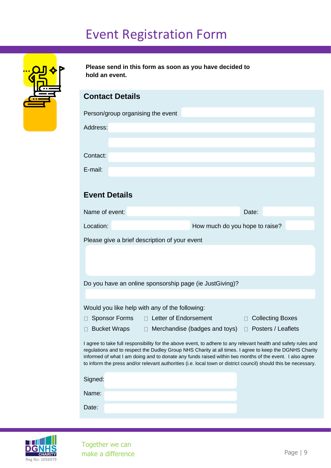### Event Registration Form

| ہ <mark>⊔ے</mark><br>$\mathbf{O}$<br><u> 교도</u> |  |
|-------------------------------------------------|--|
|                                                 |  |

**Please send in this form as soon as you have decided to hold an event.** 

### **Contact Details**

| Person/group organising the event |  |  |
|-----------------------------------|--|--|
|                                   |  |  |
| Address:                          |  |  |
|                                   |  |  |
|                                   |  |  |
| Contact:                          |  |  |
|                                   |  |  |
| E-mail:                           |  |  |

### **Event Details**

| Name of event:                                | Date:                          |
|-----------------------------------------------|--------------------------------|
| Location:                                     | How much do you hope to raise? |
| Please give a brief description of your event |                                |

Do you have an online sponsorship page (ie JustGiving)?

Would you like help with any of the following:

- □ Sponsor Forms □ Letter of Endorsement □ Collecting Boxes
- 
- □ Bucket Wraps □ Merchandise (badges and toys) □ Posters / Leaflets

I agree to take full responsibility for the above event, to adhere to any relevant health and safety rules and regulations and to respect the Dudley Group NHS Charity at all times. I agree to keep the DGNHS Charity informed of what I am doing and to donate any funds raised within two months of the event. I also agree to inform the press and/or relevant authorities (i.e. local town or district council) should this be necessary.

| Signed: |  |
|---------|--|
| Name:   |  |
| Date:   |  |